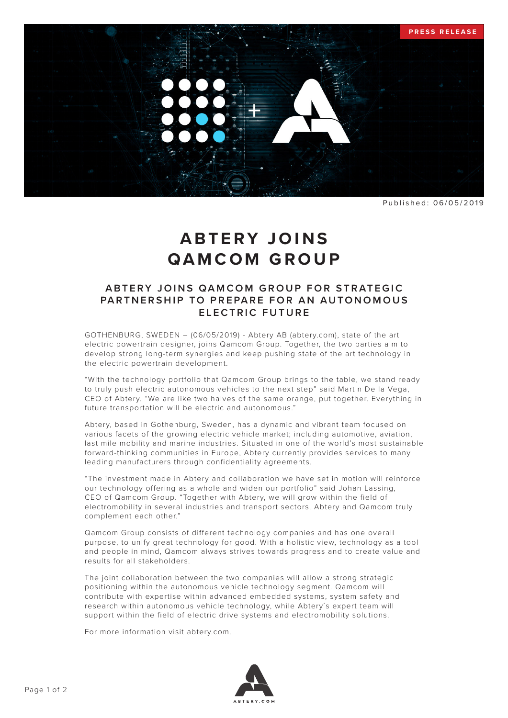

Published: 06/05/2019

## **ABTERY JOINS QAMCOM GROUP**

## A B T ERY JOINS QAMCOM GROUP FOR STRATEGIC PARTNERSHIP TO PREPARE FOR AN AUTONOMOUS **ELECTRIC FUTURE**

GOTHENBURG, SWEDEN – (06/05/2019) - Abtery AB (abtery.com), state of the art electric powertrain designer, joins Qamcom Group. Together, the two parties aim to develop strong long-term synergies and keep pushing state of the art technology in the electric powertrain development.

"With the technology portfolio that Qamcom Group brings to the table, we stand ready to truly push electric autonomous vehicles to the next step" said Martin De la Vega, CEO of Abtery. "We are like two halves of the same orange, put together. Everything in future transportation will be electric and autonomous."

Abtery, based in Gothenburg, Sweden, has a dynamic and vibrant team focused on various facets of the growing electric vehicle market; including automotive, aviation, last mile mobility and marine industries. Situated in one of the world's most sustainable forward-thinking communities in Europe, Abtery currently provides services to many leading manufacturers through confidentiality agreements.

"The investment made in Abtery and collaboration we have set in motion will reinforce our technology offering as a whole and widen our portfolio" said Johan Lassing, CEO of Qamcom Group. "Together with Abtery, we will grow within the field of electromobility in several industries and transport sectors. Abtery and Qamcom truly complement each other."

Qamcom Group consists of different technology companies and has one overall purpose, to unify great technology for good. With a holistic view, technology as a tool and people in mind, Qamcom always strives towards progress and to create value and results for all stakeholders.

The joint collaboration between the two companies will allow a strong strategic positioning within the autonomous vehicle technology segment. Qamcom will contribute with expertise within advanced embedded systems, system safety and research within autonomous vehicle technology, while Abtery´s expert team will support within the field of electric drive systems and electromobility solutions.

For more information visit abtery.com.